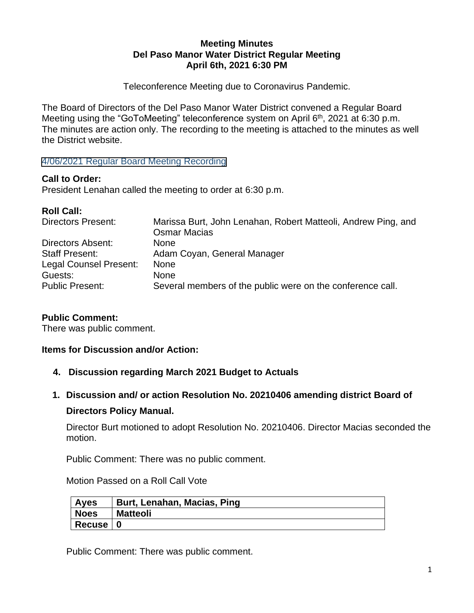### **Meeting Minutes Del Paso Manor Water District Regular Meeting April 6th, 2021 6:30 PM**

Teleconference Meeting due to Coronavirus Pandemic.

The Board of Directors of the Del Paso Manor Water District convened a Regular Board Meeting using the "GoToMeeting" teleconference system on April 6<sup>th</sup>, 2021 at 6:30 p.m. The minutes are action only. The recording to the meeting is attached to the minutes as well the District website.

4/06/2021 Regular [Board Meeting Recording](https://www.delpasomanorwd.org/files/270ec7191/Regular+Meeting+06APR21.mp4)

## **Call to Order:**

President Lenahan called the meeting to order at 6:30 p.m.

## **Roll Call:**

| Directors Present:     | Marissa Burt, John Lenahan, Robert Matteoli, Andrew Ping, and |
|------------------------|---------------------------------------------------------------|
|                        | <b>Osmar Macias</b>                                           |
| Directors Absent:      | <b>None</b>                                                   |
| <b>Staff Present:</b>  | Adam Coyan, General Manager                                   |
| Legal Counsel Present: | <b>None</b>                                                   |
| Guests:                | <b>None</b>                                                   |
| <b>Public Present:</b> | Several members of the public were on the conference call.    |
|                        |                                                               |

# **Public Comment:**

There was public comment.

### **Items for Discussion and/or Action:**

- **4. Discussion regarding March 2021 Budget to Actuals**
- **1. Discussion and/ or action Resolution No. 20210406 amending district Board of Directors Policy Manual.**

Director Burt motioned to adopt Resolution No. 20210406. Director Macias seconded the motion.

Public Comment: There was no public comment.

Motion Passed on a Roll Call Vote

| <b>Ayes</b>              | Burt, Lenahan, Macias, Ping |
|--------------------------|-----------------------------|
| Noes                     | <b>Matteoli</b>             |
| $\vert$ Recuse $\vert$ 0 |                             |

Public Comment: There was public comment.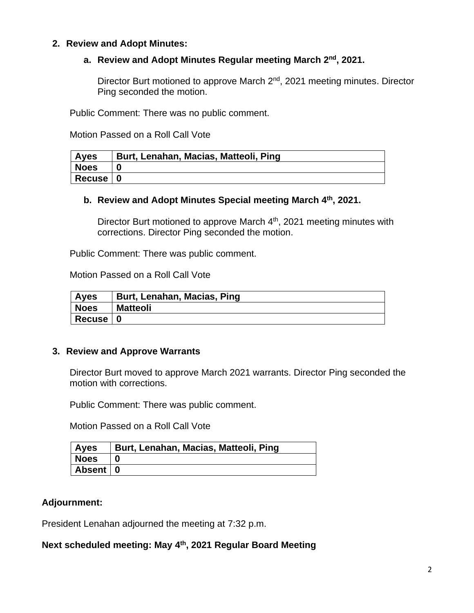## **2. Review and Adopt Minutes:**

## **a. Review and Adopt Minutes Regular meeting March 2 nd, 2021.**

Director Burt motioned to approve March 2<sup>nd</sup>, 2021 meeting minutes. Director Ping seconded the motion.

Public Comment: There was no public comment.

Motion Passed on a Roll Call Vote

| <b>Ayes</b> | Burt, Lenahan, Macias, Matteoli, Ping |
|-------------|---------------------------------------|
| <b>Noes</b> |                                       |
| Recuse   0  |                                       |

#### **b. Review and Adopt Minutes Special meeting March 4th, 2021.**

Director Burt motioned to approve March 4<sup>th</sup>, 2021 meeting minutes with corrections. Director Ping seconded the motion.

Public Comment: There was public comment.

Motion Passed on a Roll Call Vote

| <b>Ayes</b> | Burt, Lenahan, Macias, Ping |
|-------------|-----------------------------|
| <b>Noes</b> | <b>Matteoli</b>             |
| Recuse I    |                             |

### **3. Review and Approve Warrants**

Director Burt moved to approve March 2021 warrants. Director Ping seconded the motion with corrections.

Public Comment: There was public comment.

Motion Passed on a Roll Call Vote

| <b>Ayes</b> | Burt, Lenahan, Macias, Matteoli, Ping |
|-------------|---------------------------------------|
| <b>Noes</b> |                                       |
| Absent 0    |                                       |

### **Adjournment:**

President Lenahan adjourned the meeting at 7:32 p.m.

### **Next scheduled meeting: May 4 th, 2021 Regular Board Meeting**